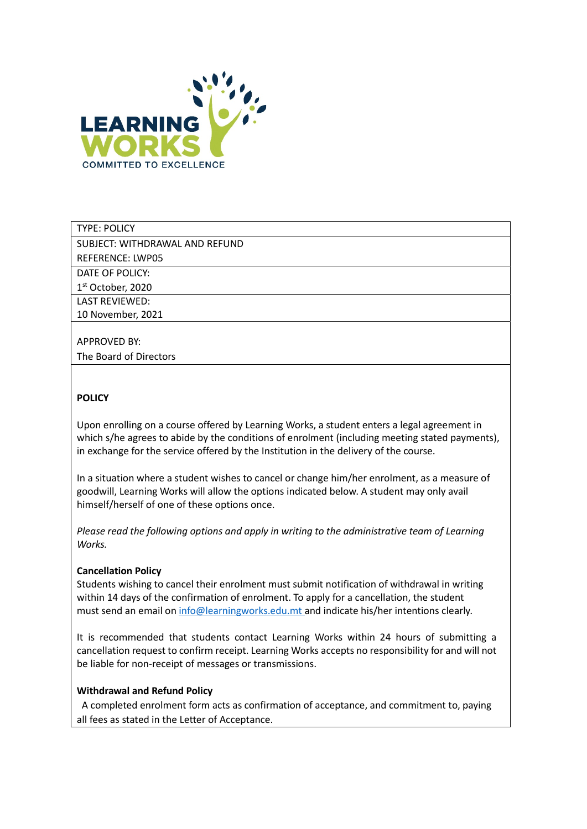

### TYPE: POLICY

SUBJECT: WITHDRAWAL AND REFUND

REFERENCE: LWP05

DATE OF POLICY:

1 st October, 2020

LAST REVIEWED: 10 November, 2021

# APPROVED BY:

The Board of Directors

## **POLICY**

Upon enrolling on a course offered by Learning Works, a student enters a legal agreement in which s/he agrees to abide by the conditions of enrolment (including meeting stated payments), in exchange for the service offered by the Institution in the delivery of the course.

In a situation where a student wishes to cancel or change him/her enrolment, as a measure of goodwill, Learning Works will allow the options indicated below. A student may only avail himself/herself of one of these options once.

Please read the following options and apply in writing to the administrative team of Learning Works.

### Cancellation Policy

Students wishing to cancel their enrolment must submit notification of withdrawal in writing within 14 days of the confirmation of enrolment. To apply for a cancellation, the student must send an email on info@learningworks.edu.mt and indicate his/her intentions clearly.

It is recommended that students contact Learning Works within 24 hours of submitting a cancellation request to confirm receipt. Learning Works accepts no responsibility for and will not be liable for non-receipt of messages or transmissions.

### Withdrawal and Refund Policy

 A completed enrolment form acts as confirmation of acceptance, and commitment to, paying all fees as stated in the Letter of Acceptance.